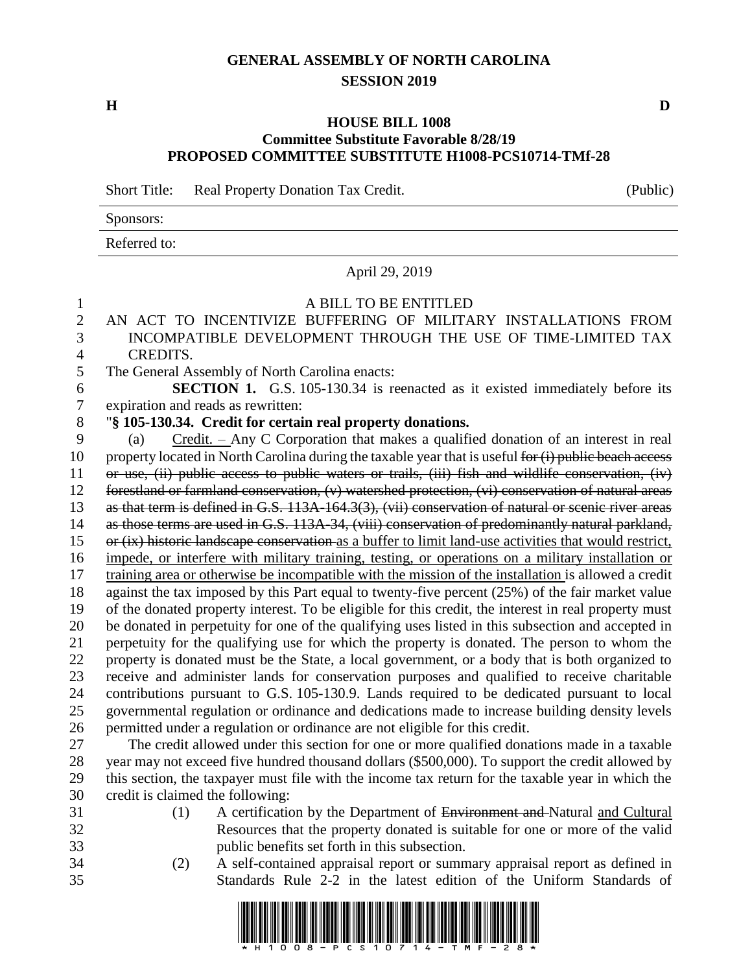# **GENERAL ASSEMBLY OF NORTH CAROLINA SESSION 2019**

**H D**

## **HOUSE BILL 1008 Committee Substitute Favorable 8/28/19 PROPOSED COMMITTEE SUBSTITUTE H1008-PCS10714-TMf-28**

Short Title: Real Property Donation Tax Credit. (Public)

# Sponsors:

Referred to:

# April 29, 2019

# A BILL TO BE ENTITLED

- AN ACT TO INCENTIVIZE BUFFERING OF MILITARY INSTALLATIONS FROM INCOMPATIBLE DEVELOPMENT THROUGH THE USE OF TIME-LIMITED TAX CREDITS.
- The General Assembly of North Carolina enacts:

 **SECTION 1.** G.S. 105-130.34 is reenacted as it existed immediately before its expiration and reads as rewritten:

# "**§ 105-130.34. Credit for certain real property donations.**

 (a) Credit. – Any C Corporation that makes a qualified donation of an interest in real 10 property located in North Carolina during the taxable year that is useful for (i) public beach access or use, (ii) public access to public waters or trails, (iii) fish and wildlife conservation, (iv) forestland or farmland conservation, (v) watershed protection, (vi) conservation of natural areas as that term is defined in G.S. 113A-164.3(3), (vii) conservation of natural or scenic river areas as those terms are used in G.S. 113A-34, (viii) conservation of predominantly natural parkland, or (ix) historic landscape conservation as a buffer to limit land-use activities that would restrict, impede, or interfere with military training, testing, or operations on a military installation or training area or otherwise be incompatible with the mission of the installation is allowed a credit against the tax imposed by this Part equal to twenty-five percent (25%) of the fair market value of the donated property interest. To be eligible for this credit, the interest in real property must be donated in perpetuity for one of the qualifying uses listed in this subsection and accepted in perpetuity for the qualifying use for which the property is donated. The person to whom the property is donated must be the State, a local government, or a body that is both organized to receive and administer lands for conservation purposes and qualified to receive charitable contributions pursuant to G.S. 105-130.9. Lands required to be dedicated pursuant to local governmental regulation or ordinance and dedications made to increase building density levels permitted under a regulation or ordinance are not eligible for this credit.

 The credit allowed under this section for one or more qualified donations made in a taxable year may not exceed five hundred thousand dollars (\$500,000). To support the credit allowed by this section, the taxpayer must file with the income tax return for the taxable year in which the credit is claimed the following:

- (1) A certification by the Department of Environment and Natural and Cultural Resources that the property donated is suitable for one or more of the valid public benefits set forth in this subsection.
- (2) A self-contained appraisal report or summary appraisal report as defined in Standards Rule 2-2 in the latest edition of the Uniform Standards of

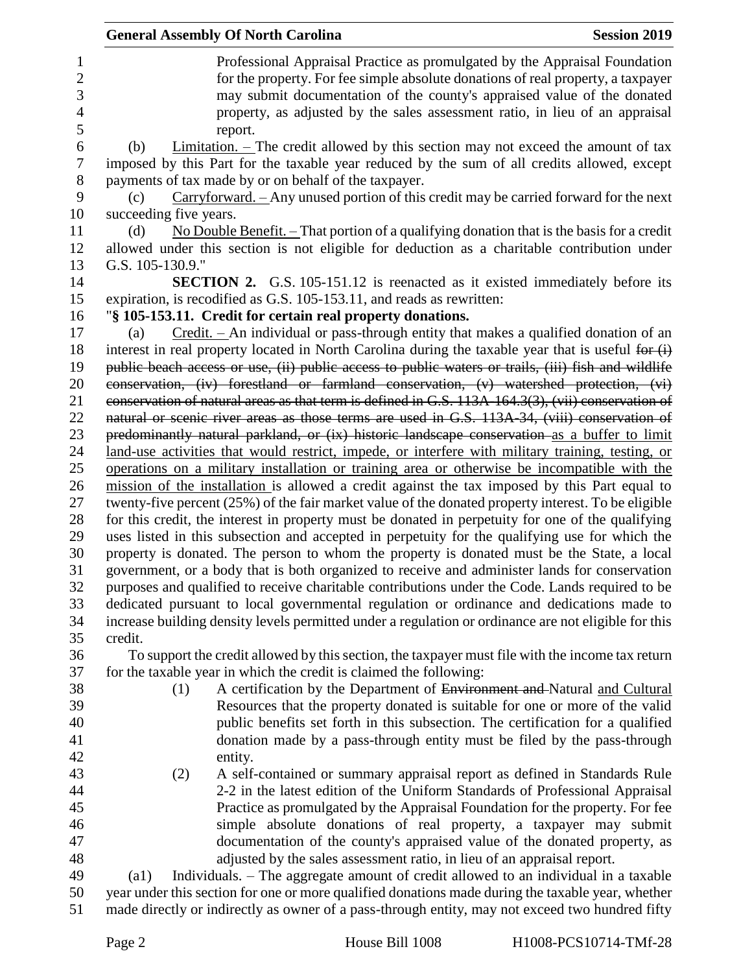|                     | <b>General Assembly Of North Carolina</b><br><b>Session 2019</b>                                                                                                                                  |
|---------------------|---------------------------------------------------------------------------------------------------------------------------------------------------------------------------------------------------|
| 1<br>$\overline{2}$ | Professional Appraisal Practice as promulgated by the Appraisal Foundation<br>for the property. For fee simple absolute donations of real property, a taxpayer                                    |
| 3<br>4              | may submit documentation of the county's appraised value of the donated<br>property, as adjusted by the sales assessment ratio, in lieu of an appraisal                                           |
| 5                   | report.                                                                                                                                                                                           |
| 6<br>7              | $Limitation.$ – The credit allowed by this section may not exceed the amount of tax<br>(b)<br>imposed by this Part for the taxable year reduced by the sum of all credits allowed, except         |
| 8                   | payments of tax made by or on behalf of the taxpayer.                                                                                                                                             |
| 9                   | Carryforward. - Any unused portion of this credit may be carried forward for the next<br>(c)                                                                                                      |
| 10                  | succeeding five years.                                                                                                                                                                            |
| 11<br>12            | No Double Benefit. $-$ That portion of a qualifying donation that is the basis for a credit<br>(d)<br>allowed under this section is not eligible for deduction as a charitable contribution under |
| 13                  | G.S. 105-130.9."                                                                                                                                                                                  |
| 14<br>15            | <b>SECTION 2.</b> G.S. 105-151.12 is reenacted as it existed immediately before its<br>expiration, is recodified as G.S. 105-153.11, and reads as rewritten:                                      |
| 16                  | "§ 105-153.11. Credit for certain real property donations.                                                                                                                                        |
| 17                  | Credit. – An individual or pass-through entity that makes a qualified donation of an<br>(a)                                                                                                       |
| 18                  | interest in real property located in North Carolina during the taxable year that is useful for (i)                                                                                                |
| 19                  | public beach access or use, (ii) public access to public waters or trails, (iii) fish and wildlife                                                                                                |
| 20                  | conservation, (iv) forestland or farmland conservation, (v) watershed protection, (vi)                                                                                                            |
| 21                  | conservation of natural areas as that term is defined in G.S. 113A-164.3(3), (vii) conservation of                                                                                                |
| 22                  | natural or scenic river areas as those terms are used in G.S. 113A-34, (viii) conservation of                                                                                                     |
| 23                  | predominantly natural parkland, or (ix) historic landscape conservation as a buffer to limit                                                                                                      |
| 24                  | land-use activities that would restrict, impede, or interfere with military training, testing, or                                                                                                 |
| 25                  | operations on a military installation or training area or otherwise be incompatible with the                                                                                                      |
| 26                  | mission of the installation is allowed a credit against the tax imposed by this Part equal to                                                                                                     |
| 27                  | twenty-five percent (25%) of the fair market value of the donated property interest. To be eligible                                                                                               |
| 28                  | for this credit, the interest in property must be donated in perpetuity for one of the qualifying                                                                                                 |
| 29                  | uses listed in this subsection and accepted in perpetuity for the qualifying use for which the                                                                                                    |
| 30                  | property is donated. The person to whom the property is donated must be the State, a local                                                                                                        |
| 31                  | government, or a body that is both organized to receive and administer lands for conservation                                                                                                     |
| 32                  | purposes and qualified to receive charitable contributions under the Code. Lands required to be                                                                                                   |
| 33<br>34            | dedicated pursuant to local governmental regulation or ordinance and dedications made to<br>increase building density levels permitted under a regulation or ordinance are not eligible for this  |
| 35                  | credit.                                                                                                                                                                                           |
| 36                  | To support the credit allowed by this section, the taxpayer must file with the income tax return                                                                                                  |
| 37                  | for the taxable year in which the credit is claimed the following:                                                                                                                                |
| 38                  | A certification by the Department of Environment and Natural and Cultural<br>(1)                                                                                                                  |
| 39                  | Resources that the property donated is suitable for one or more of the valid                                                                                                                      |
| 40                  | public benefits set forth in this subsection. The certification for a qualified                                                                                                                   |
| 41                  | donation made by a pass-through entity must be filed by the pass-through                                                                                                                          |
| 42                  | entity.                                                                                                                                                                                           |
| 43                  | A self-contained or summary appraisal report as defined in Standards Rule<br>(2)                                                                                                                  |
| 44                  | 2-2 in the latest edition of the Uniform Standards of Professional Appraisal                                                                                                                      |
| 45                  | Practice as promulgated by the Appraisal Foundation for the property. For fee                                                                                                                     |
| 46                  | simple absolute donations of real property, a taxpayer may submit                                                                                                                                 |
| 47                  | documentation of the county's appraised value of the donated property, as                                                                                                                         |
| 48                  | adjusted by the sales assessment ratio, in lieu of an appraisal report.                                                                                                                           |
| 49                  | Individuals. – The aggregate amount of credit allowed to an individual in a taxable<br>$\left( a1\right)$                                                                                         |
| 50                  | year under this section for one or more qualified donations made during the taxable year, whether                                                                                                 |
| 51                  | made directly or indirectly as owner of a pass-through entity, may not exceed two hundred fifty                                                                                                   |